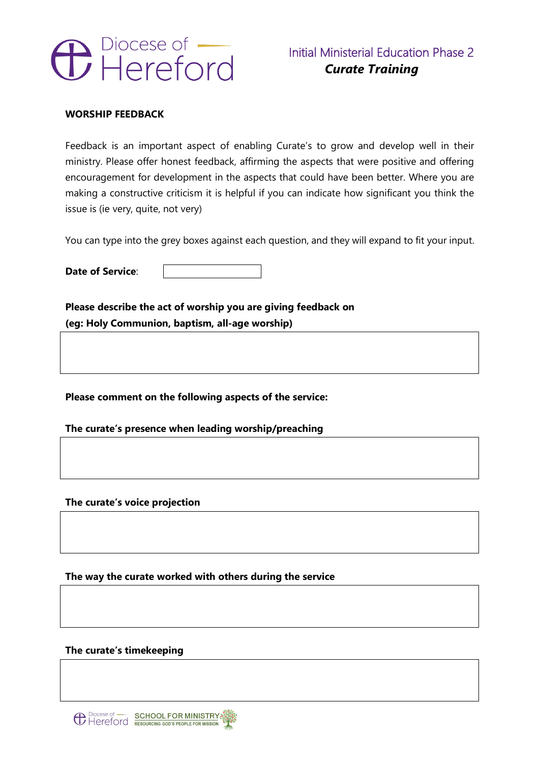

# **WORSHIP FEEDBACK**

Feedback is an important aspect of enabling Curate's to grow and develop well in their ministry. Please offer honest feedback, affirming the aspects that were positive and offering encouragement for development in the aspects that could have been better. Where you are making a constructive criticism it is helpful if you can indicate how significant you think the issue is (ie very, quite, not very)

You can type into the grey boxes against each question, and they will expand to fit your input.

**Date of Service**:

**Please describe the act of worship you are giving feedback on (eg: Holy Communion, baptism, all-age worship)**

**Please comment on the following aspects of the service:** 

**The curate's presence when leading worship/preaching**

**The curate's voice projection**

**The way the curate worked with others during the service**

**The curate's timekeeping**